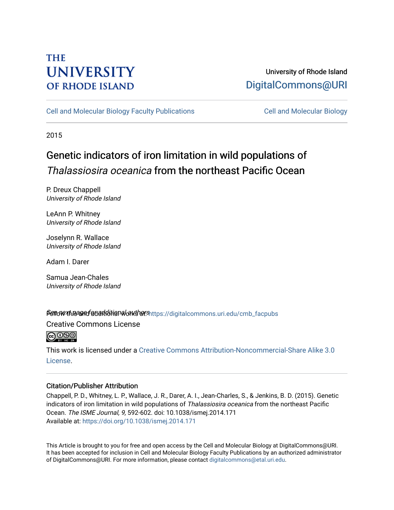# **THE UNIVERSITY OF RHODE ISLAND**

# University of Rhode Island [DigitalCommons@URI](https://digitalcommons.uri.edu/)

[Cell and Molecular Biology Faculty Publications](https://digitalcommons.uri.edu/cmb_facpubs) [Cell and Molecular Biology](https://digitalcommons.uri.edu/cmb) 

2015

# Genetic indicators of iron limitation in wild populations of Thalassiosira oceanica from the northeast Pacific Ocean

P. Dreux Chappell University of Rhode Island

LeAnn P. Whitney University of Rhode Island

Joselynn R. Wallace University of Rhode Island

Adam I. Darer

Samua Jean-Chales University of Rhode Island

# Sett overthe and for additional authors https://digitalcommons.uri.edu/cmb\_facpubs

Creative Commons License

 $\bigodot$   $\bigodot$   $\bigodot$ 

This work is licensed under a [Creative Commons Attribution-Noncommercial-Share Alike 3.0](https://creativecommons.org/licenses/by-nc-sa/3.0/) [License.](https://creativecommons.org/licenses/by-nc-sa/3.0/)

# Citation/Publisher Attribution

Chappell, P. D., Whitney, L. P., Wallace, J. R., Darer, A. I., Jean-Charles, S., & Jenkins, B. D. (2015). Genetic indicators of iron limitation in wild populations of Thalassiosira oceanica from the northeast Pacific Ocean. The ISME Journal, 9, 592-602. doi: 10.1038/ismej.2014.171 Available at:<https://doi.org/10.1038/ismej.2014.171>

This Article is brought to you for free and open access by the Cell and Molecular Biology at DigitalCommons@URI. It has been accepted for inclusion in Cell and Molecular Biology Faculty Publications by an authorized administrator of DigitalCommons@URI. For more information, please contact [digitalcommons@etal.uri.edu](mailto:digitalcommons@etal.uri.edu).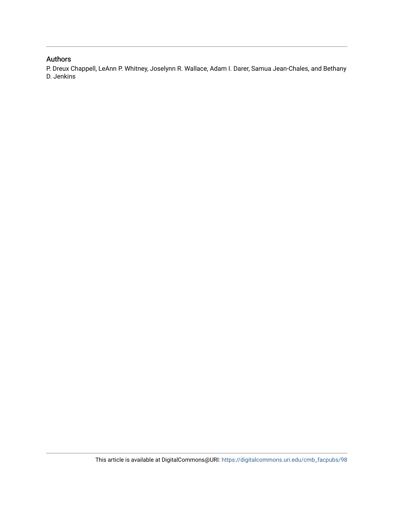# Authors

P. Dreux Chappell, LeAnn P. Whitney, Joselynn R. Wallace, Adam I. Darer, Samua Jean-Chales, and Bethany D. Jenkins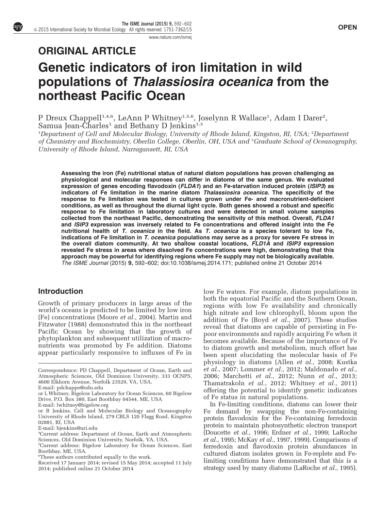[www.nature.com/ismej](http://www.nature.com/ismej)

# ORIGINAL ARTICLE Genetic indicators of iron limitation in wild populations of Thalassiosira oceanica from the northeast Pacific Ocean

P Dreux Chappell<sup>1,4,6</sup>, LeAnn P Whitney<sup>1,5,6</sup>, Joselynn R Wallace<sup>1</sup>, Adam I Darer<sup>2</sup>,<br>Samua Jean-Charles<sup>1</sup> and Bethany D Jenkins<sup>1,3</sup>

<sup>1</sup>Department of Cell and Molecular Biology, University of Rhode Island, Kingston, RI, USA; <sup>2</sup>Department of Chemistry and Biochemistry, Oberlin College, Oberlin, OH, USA and <sup>3</sup>Graduate School of Oceanography, University of Rhode Island, Narragansett, RI, USA

Assessing the iron (Fe) nutritional status of natural diatom populations has proven challenging as physiological and molecular responses can differ in diatoms of the same genus. We evaluated expression of genes encoding flavodoxin (*FLDA1*) and an Fe-starvation induced protein (*ISIP3*) as indicators of Fe limitation in the marine diatom Thalassiosira oceanica. The specificity of the response to Fe limitation was tested in cultures grown under Fe- and macronutrient-deficient conditions, as well as throughout the diurnal light cycle. Both genes showed a robust and specific response to Fe limitation in laboratory cultures and were detected in small volume samples collected from the northeast Pacific, demonstrating the sensitivity of this method. Overall, FLDA1 and ISIP3 expression was inversely related to Fe concentrations and offered insight into the Fe nutritional health of T. oceanica in the field. As T. oceanica is a species tolerant to low Fe, indications of Fe limitation in T. oceanica populations may serve as a proxy for severe Fe stress in the overall diatom community. At two shallow coastal locations, FLD1A and ISIP3 expression revealed Fe stress in areas where dissolved Fe concentrations were high, demonstrating that this approach may be powerful for identifying regions where Fe supply may not be biologically available. The ISME Journal (2015) 9, 592–602; doi:[10.1038/ismej.2014.171;](http://dx.doi.org/10.1038/ismej.2014.171) published online 21 October 2014

## Introduction

Growth of primary producers in large areas of the world's oceans is predicted to be limited by low iron (Fe) concentrations [\(Moore](#page-12-0) et al., 2004). [Martin and](#page-12-0) [Fitzwater \(1988\)](#page-12-0) demonstrated this in the northeast Pacific Ocean by showing that the growth of phytoplankton and subsequent utilization of macronutrients was promoted by Fe addition. Diatoms appear particularly responsive to influxes of Fe in low Fe waters. For example, diatom populations in both the equatorial Pacific and the Southern Ocean, regions with low Fe availability and chronically high nitrate and low chlorophyll, bloom upon the addition of Fe (Boyd et al.[, 2007\)](#page-11-0). These studies reveal that diatoms are capable of persisting in Fepoor environments and rapidly acquiring Fe when it becomes available. Because of the importance of Fe to diatom growth and metabolism, much effort has been spent elucidating the molecular basis of Fe physiology in diatoms (Allen et al.[, 2008](#page-11-0); [Kustka](#page-11-0) et al.[, 2007; Lommer](#page-11-0) et al., 2012; [Maldonado](#page-12-0) et al., [2006; Marchetti](#page-12-0) et al., 2012; Nunn et al.[, 2013;](#page-12-0) [Thamatrakoln](#page-12-0) et al., 2012; [Whitney](#page-12-0) et al., 2011) offering the potential to identify genetic indicators of Fe status in natural populations.

In Fe-limiting conditions, diatoms can lower their Fe demand by swapping the non-Fe-containing protein flavodoxin for the Fe-containing ferredoxin protein to maintain photosynthetic electron transport ([Doucette](#page-11-0) et al., 1996; [Erdner](#page-11-0) et al., 1999; [LaRoche](#page-11-0) et al.[, 1995](#page-11-0); McKay et al.[, 1997, 1999](#page-12-0)). Comparisons of ferredoxin and flavodoxin protein abundances in cultured diatom isolates grown in Fe-replete and Felimiting conditions have demonstrated that this is a strategy used by many diatoms [\(LaRoche](#page-11-0) et al., 1995).

Correspondence: PD Chappell, Department of Ocean, Earth and Atmospheric Sciences, Old Dominion University, 333 OCNPS, 4600 Elkhorn Avenue, Norfolk 23529, VA, USA.

E-mail: [pdchappe@odu.edu](mailto:pdchappe@odu.edu)

or L Whitney, Bigelow Laboratory for Ocean Sciences, 60 Bigelow Drive, P.O. Box 380, East Boothbay 04544, ME, USA

E-mail: [lwhitney@bigelow.org](mailto:lwhitney@bigelow.org)

or B Jenkins, Cell and Molecular Biology and Oceanography University of Rhode Island, 279 CBLS 120 Flagg Road, Kingston 02881, RI, USA

E-mail: [bjenkins@uri.edu](mailto:bjenkins@uri.edu)

<sup>4</sup> Current address: Department of Ocean, Earth and Atmospheric Sciences, Old Dominion University, Norfolk, VA, USA.

<sup>5</sup> Current address: Bigelow Laboratory for Ocean Sciences, East Boothbay, ME, USA.

<sup>6</sup> These authors contributed equally to the work.

Received 17 January 2014; revised 15 May 2014; accepted 11 July 2014; published online 21 October 2014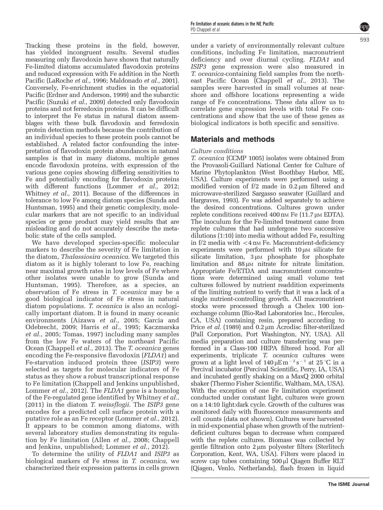Tracking these proteins in the field, however, has yielded incongruent results. Several studies measuring only flavodoxin have shown that naturally Fe-limited diatoms accumulated flavodoxin proteins and reduced expression with Fe addition in the North Pacific ([LaRoche](#page-11-0) et al., 1996; [Maldonado](#page-12-0) et al., 2001). Conversely, Fe-enrichment studies in the equatorial Pacific [\(Erdner and Anderson, 1999](#page-11-0)) and the subarctic Pacific [\(Suzuki](#page-12-0) et al., 2009) detected only flavodoxin proteins and not ferredoxin proteins. It can be difficult to interpret the Fe status in natural diatom assemblages with these bulk flavodoxin and ferredoxin protein detection methods because the contribution of an individual species to these protein pools cannot be established. A related factor confounding the interpretation of flavodoxin protein abundances in natural samples is that in many diatoms, multiple genes encode flavodoxin proteins, with expression of the various gene copies showing differing sensitivities to Fe and potentially encoding for flavodoxin proteins with different functions [\(Lommer](#page-11-0) et al., 2012; [Whitney](#page-12-0) et al., 2011). Because of the differences in tolerance to low Fe among diatom species ([Sunda and](#page-12-0) [Huntsman, 1995](#page-12-0)) and their genetic complexity, molecular markers that are not specific to an individual species or gene product may yield results that are misleading and do not accurately describe the metabolic state of the cells sampled.

We have developed species-specific molecular markers to describe the severity of Fe limitation in the diatom, Thalassiosira oceanica. We targeted this diatom as it is highly tolerant to low Fe, reaching near maximal growth rates in low levels of Fe where other isolates were unable to grow [\(Sunda and](#page-12-0) [Huntsman, 1995\)](#page-12-0). Therefore, as a species, an observation of Fe stress in T. oceanica may be a good biological indicator of Fe stress in natural diatom populations. T. oceanica is also an ecologically important diatom. It is found in many oceanic environments ([Aizawa](#page-11-0) et al., 2005; [Garcia and](#page-11-0) [Odebrecht, 2009;](#page-11-0) Harris et al.[, 1995; Kaczmarska](#page-11-0) et al.[, 2005;](#page-11-0) [Tomas, 1997\)](#page-12-0) including many samples from the low Fe waters of the northeast Pacific Ocean ([Chappell](#page-11-0) et al., 2013). The T. oceanica genes encoding the Fe-responsive flavodoxin (FLDA1) and Fe-starvation induced protein three (ISIP3) were selected as targets for molecular indicators of Fe status as they show a robust transcriptional response to Fe limitation (Chappell and Jenkins unpublished, [Lommer](#page-11-0) et al., 2012). The FLDA1 gene is a homolog of the Fe-regulated gene identified by [Whitney](#page-12-0) et al., [\(2011\)](#page-12-0) in the diatom T. weissflogii. The ISIP3 gene encodes for a predicted cell surface protein with a putative role as an Fe receptor [\(Lommer](#page-11-0) et al., 2012). It appears to be common among diatoms, with several laboratory studies demonstrating its regulation by Fe limitation (Allen et al.[, 2008;](#page-11-0) Chappell and Jenkins, unpublished; [Lommer](#page-11-0) et al., 2012).

To determine the utility of FLDA1 and ISIP3 as biological markers of Fe stress in T. oceanica, we characterized their expression patterns in cells grown

under a variety of environmentally relevant culture conditions, including Fe limitation, macronutrient deficiency and over diurnal cycling. FLDA1 and ISIP3 gene expression were also measured in T. oceanica-containing field samples from the north-east Pacific Ocean [\(Chappell](#page-11-0) *et al.*, 2013). The samples were harvested in small volumes at nearshore and offshore locations representing a wide range of Fe concentrations. These data allow us to correlate gene expression levels with total Fe concentrations and show that the use of these genes as biological indicators is both specific and sensitive.

# Materials and methods

### Culture conditions

T. oceanica (CCMP 1005) isolates were obtained from the Provasoli-Guillard National Center for Culture of Marine Phytoplankton (West Boothbay Harbor, ME, USA). Culture experiments were performed using a modified version of  $f/2$  made in  $0.2 \mu m$  filtered and microwave-sterilized Sargasso seawater ([Guillard and](#page-11-0) [Hargraves, 1993](#page-11-0)). Fe was added separately to achieve the desired concentrations. Cultures grown under replete conditions received  $400 \text{ nm}$  Fe (11.7  $\mu$ M EDTA). The inoculum for the Fe-limited treatment came from replete cultures that had undergone two successive dilutions (1:10) into media without added Fe, resulting in  $f/2$  media with  $\lt 4$  nm Fe. Macronutrient-deficiency experiments were performed with  $10 \mu$ M silicate for silicate limitation,  $3 \mu M$  phosphate for phosphate limitation and  $88 \mu \text{m}$  nitrate for nitrate limitation. Appropriate Fe/ETDA and macronutrient concentrations were determined using small volume test cultures followed by nutrient readdition experiments of the limiting nutrient to verify that it was a lack of a single nutrient-controlling growth. All macronutrient stocks were processed through a Chelex 100 ionexchange column (Bio-Rad Laboratories Inc., Hercules, CA, USA) containing resin, prepared according to Price *et al.* [\(1989\)](#page-12-0) and  $0.2 \mu m$  Acrodisc filter-sterilized (Pall Corporation, Port Washington, NY, USA). All media preparation and culture transferring was performed in a Class-100 HEPA filtered hood. For all experiments, triplicate T. oceanica cultures were grown at a light level of  $140 \,\mathrm{\upmu E\,m^{-2}\,s^{-1}}$  at  $25 \,{}^\circ\mathrm{C}$  in a Percival incubator (Percival Scientific, Perry, IA, USA) and incubated gently shaking on a MaxQ 2000 orbital shaker (Thermo Fisher Scientific, Waltham, MA, USA). With the exception of one Fe limitation experiment conducted under constant light, cultures were grown on a 14:10 light:dark cycle. Growth of the cultures was monitored daily with fluorescence measurements and cell counts (data not shown). Cultures were harvested in mid-exponential phase when growth of the nutrientdeficient cultures began to decrease when compared with the replete cultures. Biomass was collected by gentle filtration onto  $2 \mu m$  polyester filters (Sterlitech Corporation, Kent, WA, USA). Filters were placed in screw cap tubes containing  $500 \mu l$  Qiagen Buffer RLT (Qiagen, Venlo, Netherlands), flash frozen in liquid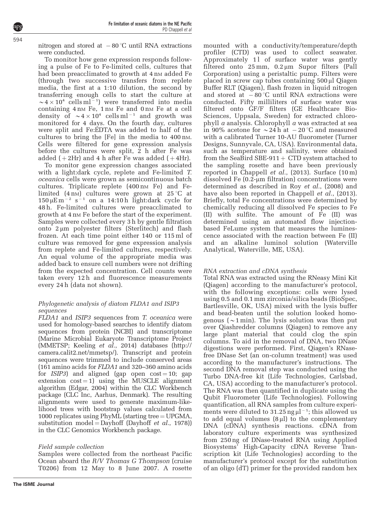nitrogen and stored at  $-80^{\circ}$ C until RNA extractions were conducted.

To monitor how gene expression responds following a pulse of Fe to Fe-limited cells, cultures that had been preacclimated to growth at 4 nm added Fe (through two successive transfers from replete media, the first at a 1:10 dilution, the second by transferring enough cells to start the culture at  $\sim 4 \times 10^4$  cells ml<sup>-1</sup>) were transferred into media containing 4 nm Fe, 1 nm Fe and 0 nm Fe at a cell density of  $\sim 4 \times 10^4$  cells ml<sup>-1</sup> and growth was monitored for 4 days. On the fourth day, cultures were split and Fe:EDTA was added to half of the cultures to bring the [Fe] in the media to 400 nM. Cells were filtered for gene expression analysis before the cultures were split, 2 h after Fe was added  $(+2Hr)$  and 4 h after Fe was added  $(+4Hr)$ .

To monitor gene expression changes associated with a light:dark cycle, replete and Fe-limited T. oceanica cells were grown as semicontinuous batch cultures. Triplicate replete (400 nm Fe) and Felimited (4 nm) cultures were grown at  $25^{\circ}$ C at  $150 \,\mathrm{\upmu E\,m^{-2}}$  s<sup>-1</sup> on a 14:10h light:dark cycle for 48 h. Fe-limited cultures were preacclimated to growth at  $4 \text{ nm}$  Fe before the start of the experiment. Samples were collected every 3 h by gentle filtration onto  $2 \mu m$  polyester filters (Sterlitech) and flash frozen. At each time point either 140 or 115 ml of culture was removed for gene expression analysis from replete and Fe-limited cultures, respectively. An equal volume of the appropriate media was added back to ensure cell numbers were not drifting from the expected concentration. Cell counts were taken every 12 h and fluorescence measurements every 24 h (data not shown).

## Phylogenetic analysis of diatom FLDA1 and ISIP3 sequences

FLDA1 and ISIP3 sequences from T. oceanica were used for homology-based searches to identify diatom sequences from protein (NCBI) and transcriptome (Marine Microbial Eukaryote Transcriptome Project (MMETSP; [Keeling](#page-11-0) et al., 2014) databases [\(http://](http://camera.calit2.net/mmetsp/) [camera.calit2.net/mmetsp/](http://camera.calit2.net/mmetsp/)). Transcript and protein sequences were trimmed to include conserved areas (161 amino acids for FLDA1 and 320–360 amino acids for  $ISIP3$ ) and aligned (gap open cost = 10; gap extension  $cost = 1$ ) using the MUSCLE alignment algorithm [\(Edgar, 2004\)](#page-11-0) within the CLC Workbench package (CLC Inc, Aarhus, Denmark). The resulting alignments were used to generate maximum-likelihood trees with bootstrap values calculated from 1000 replicates using  $PhyML$  (starting tree  $= UPGMA$ , substitution model = [Dayhoff](#page-11-0) (Dayhoff *et al.*, 1978)) in the CLC Genomics Workbench package.

## Field sample collection

Samples were collected from the northeast Pacific Ocean aboard the R/V Thomas G Thompson (cruise T0206) from 12 May to 8 June 2007. A rosette mounted with a conductivity/temperature/depth profiler (CTD) was used to collect seawater. Approximately  $11$  of surface water was gently filtered onto  $25 \text{ mm}$ ,  $0.2 \mu \text{ m}$  Supor filters (Pall Corporation) using a peristaltic pump. Filters were placed in screw cap tubes containing 500 µl Qiagen Buffer RLT (Qiagen), flash frozen in liquid nitrogen and stored at  $-80^{\circ}$ C until RNA extractions were conducted. Fifty milliliters of surface water was filtered onto GF/F filters (GE Healthcare Bio-Sciences, Uppsala, Sweden) for extracted chlorophyll a analysis. Chlorophyll a was extracted at sea in 90% acetone for  $\sim$  24 h at  $-20$  °C and measured with a calibrated Turner 10-AU fluorometer (Turner Designs, Sunnyvale, CA, USA). Environmental data, such as temperature and salinity, were obtained from the SeaBird SBE-911  $+$  CTD system attached to the sampling rosette and have been previously reported in [Chappell](#page-11-0) *et al.*, (2013). Surface  $(10 \text{ m})$ dissolved Fe  $(0.2 \text{-} \mu \text{m}$  filtration) concentrations were determined as described in Roy et al.[, \(2008\)](#page-12-0) and have also been reported in [Chappell](#page-11-0) *et al.*, (2013). Briefly, total Fe concentrations were determined by chemically reducing all dissolved Fe species to Fe (II) with sulfite. The amount of Fe (II) was determined using an automated flow injectionbased FeLume system that measures the luminescence associated with the reaction between Fe (II) and an alkaline luminol solution (Waterville Analytical, Waterville, ME, USA).

## RNA extraction and cDNA synthesis

Total RNA was extracted using the RNeasy Mini Kit (Qiagen) according to the manufacturer's protocol, with the following exceptions: cells were lysed using 0.5 and 0.1 mm zirconia/silica beads (BioSpec, Bartlesville, OK, USA) mixed with the lysis buffer and bead-beaten until the solution looked homogenous ( $\sim$ 1 min). The lysis solution was then put over Qiashredder columns (Qiagen) to remove any large plant material that could clog the spin columns. To aid in the removal of DNA, two DNase digestions were performed. First, Qiagen's RNasefree DNase Set (an on-column treatment) was used according to the manufacturer's instructions. The second DNA removal step was conducted using the Turbo DNA-free kit (Life Technologies, Carlsbad, CA, USA) according to the manufacturer's protocol. The RNA was then quantified in duplicate using the Qubit Fluorometer (Life Technologies). Following quantification, all RNA samples from culture experiments were diluted to  $31.25$  ng  $\mu$ l<sup>-1</sup>; this allowed us to add equal volumes  $(8 \mu l)$  to the complementary DNA (cDNA) synthesis reactions. cDNA from laboratory culture experiments was synthesized from 250 ng of DNase-treated RNA using Applied Biosystems' High-Capacity cDNA Reverse Transcription kit (Life Technologies) according to the manufacturer's protocol except for the substitution of an oligo (dT) primer for the provided random hex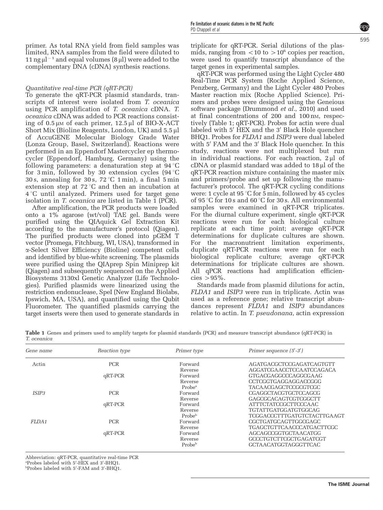primer. As total RNA yield from field samples was limited, RNA samples from the field were diluted to 11 ng  $\mu$ <sup>-1</sup> and equal volumes (8  $\mu$ ) were added to the complementary DNA (cDNA) synthesis reactions.

### Quantitative real-time PCR (qRT-PCR)

To generate the qRT-PCR plasmid standards, transcripts of interest were isolated from T. oceanica using PCR amplification of T. oceanica cDNA. T. oceanica cDNA was added to PCR reactions consisting of  $0.5 \mu M$  of each primer,  $12.5 \mu I$  of BIO-X-ACT Short Mix (Bioline Reagents, London, UK) and  $5.5 \mu$ of AccuGENE Molecular Biology Grade Water (Lonza Group, Basel, Switzerland). Reactions were performed in an Eppendorf Mastercycler ep thermocycler (Eppendorf, Hamburg, Germany) using the following parameters: a denaturation step at  $94^{\circ}$ C for 3 min, followed by 30 extension cycles  $(94^{\circ}C)$ 30 s, annealing for 30 s,  $72^{\circ}$ C 1 min), a final 5 min extension step at  $72^{\circ}$ C and then an incubation at  $4^{\circ}$ C until analyzed. Primers used for target gene isolation in T. oceanica are listed in Table 1 (PCR).

After amplification, the PCR products were loaded onto a 1% agarose (wt/vol) TAE gel. Bands were purified using the QIAquick Gel Extraction Kit according to the manufacturer's protocol (Qiagen). The purified products were cloned into pGEM T vector (Promega, Fitchburg, WI, USA), transformed in a-Select Silver Efficiency (Bioline) competent cells and identified by blue-white screening. The plasmids were purified using the QIAprep Spin Miniprep kit (Qiagen) and subsequently sequenced on the Applied Biosystems 3130xl Genetic Analyzer (Life Technologies). Purified plasmids were linearized using the restriction endonuclease, SpeI (New England Biolabs, Ipswich, MA, USA), and quantified using the Qubit Fluorometer. The quantified plasmids carrying the target inserts were then used to generate standards in

triplicate for qRT-PCR. Serial dilutions of the plasmids, ranging from  $\langle 10 \rangle$  to  $> 10^6$  copies per reaction, were used to quantify transcript abundance of the target genes in experimental samples.

qRT-PCR was performed using the Light Cycler 480 Real-Time PCR System (Roche Applied Science, Penzberg, Germany) and the Light Cycler 480 Probes Master reaction mix (Roche Applied Science). Primers and probes were designed using the Geneious software package [\(Drummond](#page-11-0) et al., 2010) and used at final concentrations of 200 and 100 nM, respectively (Table 1; qRT-PCR). Probes for actin were dual labeled with 5' HEX and the 3' Black Hole quencher BHQ1. Probes for FLDA1 and ISIP3 were dual labeled with 5' FAM and the 3' Black Hole quencher. In this study, reactions were not multiplexed but run in individual reactions. For each reaction,  $2 \mu l$  of cDNA or plasmid standard was added to  $18 \mu l$  of the qRT-PCR reaction mixture containing the master mix and primers/probe and set up following the manufacturer's protocol. The qRT-PCR cycling conditions were: 1 cycle at 95  $\degree$ C for 5 min, followed by 45 cycles of 95 °C for 10 s and 60 °C for 30 s. All environmental samples were examined in qRT-PCR triplicates. For the diurnal culture experiment, single qRT-PCR reactions were run for each biological culture replicate at each time point; average qRT-PCR determinations for duplicate cultures are shown. For the macronutrient limitation experiments, duplicate qRT-PCR reactions were run for each biological replicate culture; average qRT-PCR determinations for triplicate cultures are shown. All qPCR reactions had amplification efficiencies  $>95\%$ .

Standards made from plasmid dilutions for actin, FLDA1 and ISIP3 were run in triplicate. Actin was used as a reference gene; relative transcript abundances represent FLDA1 and ISIP3 abundances relative to actin. In T. pseudonana, actin expression

Table 1 Genes and primers used to amplify targets for plasmid standards (PCR) and measure transcript abundance (qRT-PCR) in T. oceanica

| Gene name         | Reaction type | Primer type        | Primer sequence $(5'$ -3')  |  |  |
|-------------------|---------------|--------------------|-----------------------------|--|--|
| Actin             | <b>PCR</b>    | Forward            | AGATGACGCTCCGAGATCAGTGTT    |  |  |
|                   |               | Reverse            | AGGATCGA ACCTCCA ATCCA GACA |  |  |
|                   | $qRT-PCR$     | Forward            | GTGACGAGGCCCAGGCGAAG        |  |  |
|                   |               | Reverse            | CCTCGGTGAGGAGGACCGGG        |  |  |
|                   |               | Prohe <sup>a</sup> | TACAACGAGCTCCGCGTCGC        |  |  |
| ISIP <sub>3</sub> | <b>PCR</b>    | Forward            | CGAGGCTACGTGCTCCAGCG        |  |  |
|                   |               | Reverse            | GAGCGCACAGTCGTCGGCTT        |  |  |
|                   | $qRT-PCR$     | Forward            | ATTTCTATCCGCTTCCCAAC        |  |  |
|                   |               | Reverse            | TGTATTGATGGATGTGGCAG        |  |  |
|                   |               | Probe <sup>b</sup> | TCGGACCCTTTGATGTCTACTTGAAGT |  |  |
| FLDA1             | <b>PCR</b>    | Forward            | CGCTGATGCAGTTGGCGAGC        |  |  |
|                   |               | Reverse            | TGAGCTGTTCAACCCATGACTTCGC   |  |  |
|                   | qRT-PCR       | Forward            | AGCAGCCGGTGCTAACATGG        |  |  |
|                   |               | Reverse            | GCCCTGTCTTCGCTGAGATCGT      |  |  |
|                   |               | Probe <sup>b</sup> | <b>GCTAACATGGTAGGGTTCAC</b> |  |  |
|                   |               |                    |                             |  |  |

Abbreviation: qRT-PCR, quantitative real-time PCR <sup>a</sup> Probes labeled with 5'-HEX and 3'-BHQ1.<br><sup>b</sup> Probes labeled with 5'-EAM and 3'-BHQ1.

Probes labeled with 5'-FAM and 3'-BHQ1.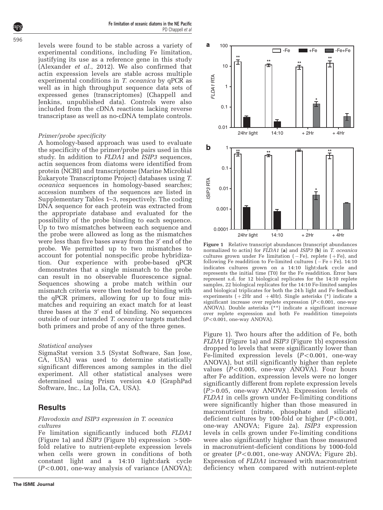Fe limitation of oceanic diatoms in the NE Pacific PD Chappell et al

levels were found to be stable across a variety of experimental conditions, including Fe limitation, justifying its use as a reference gene in this study ([Alexander](#page-11-0) et al., 2012). We also confirmed that actin expression levels are stable across multiple experimental conditions in T. oceanica by qPCR as well as in high throughput sequence data sets of expressed genes (transcriptomes) (Chappell and Jenkins, unpublished data). Controls were also included from the cDNA reactions lacking reverse transcriptase as well as no-cDNA template controls.

#### Primer/probe specificity

A homology-based approach was used to evaluate the specificity of the primer/probe pairs used in this study. In addition to FLDA1 and ISIP3 sequences, actin sequences from diatoms were identified from protein (NCBI) and transcriptome (Marine Microbial Eukaryote Transcriptome Project) databases using T. oceanica sequences in homology-based searches; accession numbers of the sequences are listed in Supplementary Tables 1–3, respectively. The coding DNA sequence for each protein was extracted from the appropriate database and evaluated for the possibility of the probe binding to each sequence. Up to two mismatches between each sequence and the probe were allowed as long as the mismatches were less than five bases away from the  $3'$  end of the probe. We permitted up to two mismatches to account for potential nonspecific probe hybridization. Our experience with probe-based qPCR demonstrates that a single mismatch to the probe can result in no observable fluorescence signal. Sequences showing a probe match within our mismatch criteria were then tested for binding with the qPCR primers, allowing for up to four mismatches and requiring an exact match for at least three bases at the  $3'$  end of binding. No sequences outside of our intended T. oceanica targets matched both primers and probe of any of the three genes.

#### Statistical analyses

SigmaStat version 3.5 (Systat Software, San Jose, CA, USA) was used to determine statistically significant differences among samples in the diel experiment. All other statistical analyses were determined using Prism version 4.0 (GraphPad Software, Inc., La Jolla, CA, USA).

## **Results**

#### Flavodoxin and ISIP3 expression in T. oceanica cultures

Fe limitation significantly induced both FLDA1 (Figure 1a) and *ISIP3* (Figure 1b) expression  $>500$ fold relative to nutrient-replete expression levels when cells were grown in conditions of both constant light and a 14:10 light:dark cycle  $(P<0.001$ , one-way analysis of variance (ANOVA);



Figure 1 Relative transcript abundances (transcript abundances normalized to actin) for  $F\rightarrow{LDA1}$  (a) and ISIP3 (b) in T. oceanica cultures grown under Fe limitation  $(-Fe)$ , replete  $(+Fe)$ , and following Fe readdition to Fe-limited cultures ( $-Fe + Fe$ ). 14:10 indicates cultures grown on a 14:10 light:dark cycle and represents the initial time (T0) for the Fe readdition. Error bars represent s.d. for 12 biological replicates for the 14:10 replete samples, 22 biological replicates for the 14:10 Fe-limited samples and biological triplicates for both the 24 h light and Fe feedback experiments ( $+2Hr$  and  $+4Hr$ ). Single asterisks (\*) indicate a significant increase over replete expression  $(P<0.001$ , one-way ANOVA). Double asterisks (\*\*) indicate a significant increase over replete expression and both Fe readdition timepoints  $(P<0.001$ , one-way ANOVA).

Figure 1). Two hours after the addition of Fe, both FLDA1 (Figure 1a) and ISIP3 (Figure 1b) expression dropped to levels that were significantly lower than Fe-limited expression levels  $(P<0.001$ , one-way ANOVA), but still significantly higher than replete values  $(P<0.005$ , one-way ANOVA). Four hours after Fe addition, expression levels were no longer significantly different from replete expression levels  $(P>0.05$ , one-way ANOVA). Expression levels of FLDA1 in cells grown under Fe-limiting conditions were significantly higher than those measured in macronutrient (nitrate, phosphate and silicate) deficient cultures by 100-fold or higher  $(P<0.001$ , one-way ANOVA; [Figure 2a\)](#page-7-0). ISIP3 expression levels in cells grown under Fe-limiting conditions were also significantly higher than those measured in macronutrient-deficient conditions by 1000-fold or greater  $(P<0.001$ , one-way ANOVA; [Figure 2b](#page-7-0)). Expression of FLDA1 increased with macronutrient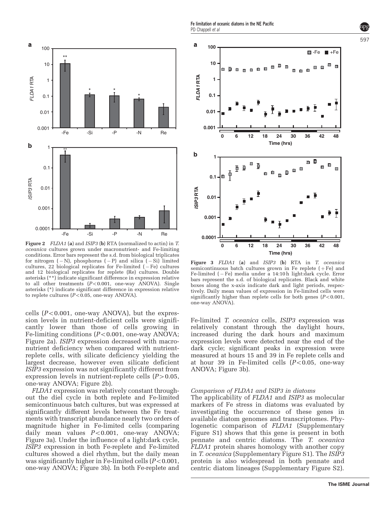*FLDA1* **RTA**

FLDA1 RTA

a

**0.001**

**0.01**

**0.1**

**1**

**10**

**100**

<span id="page-7-0"></span>

Figure 2 FLDA1 (a) and ISIP3 (b) RTA (normalized to actin) in T. oceanica cultures grown under macronutrient- and Fe-limiting conditions. Error bars represent the s.d. from biological triplicates for nitrogen ( - N), phosphorus ( - P) and silica ( - Si) limited cultures, 22 biological replicates for Fe-limited (-Fe) cultures and 12 biological replicates for replete (Re) cultures. Double asterisks (\*\*) indicate significant difference in expression relative to all other treatments  $(P<0.001$ , one-way ANOVA). Single asterisks (\*) indicate significant difference in expression relative to replete cultures ( $P < 0.05$ , one-way ANOVA).

cells  $(P<0.001$ , one-way ANOVA), but the expression levels in nutrient-deficient cells were significantly lower than those of cells growing in Fe-limiting conditions  $(P<0.001$ , one-way ANOVA; Figure 2a). ISIP3 expression decreased with macronutrient deficiency when compared with nutrientreplete cells, with silicate deficiency yielding the largest decrease, however even silicate deficient ISIP3 expression was not significantly different from expression levels in nutrient-replete cells  $(P>0.05,$ one-way ANOVA; Figure 2b).

FLDA1 expression was relatively constant throughout the diel cycle in both replete and Fe-limited semicontinuous batch cultures, but was expressed at significantly different levels between the Fe treatments with transcript abundance nearly two orders of magnitude higher in Fe-limited cells (comparing daily mean values  $P<0.001$ , one-way ANOVA; Figure 3a). Under the influence of a light:dark cycle, ISIP3 expression in both Fe-replete and Fe-limited cultures showed a diel rhythm, but the daily mean was significantly higher in Fe-limited cells  $(P<0.001$ , one-way ANOVA; Figure 3b). In both Fe-replete and



 $\mathbf b$ **1** Ď Ť. Ŧ **0.1** *ISIP3* **RTA**  ISIP3 RTA **0.01 0.001 0.0001 0 6 12 18 24 30 36 42 48 Time (hrs)**

Figure 3 FLDA1 (a) and ISIP3 (b) RTA in T. oceanica semicontinuous batch cultures grown in Fe replete  $( + Fe)$  and Fe-limited (– Fe) media under a 14:10h light:dark cycle. Error bars represent the s.d. of biological replicates. Black and white boxes along the x-axis indicate dark and light periods, respectively. Daily mean values of expression in Fe-limited cells were significantly higher than replete cells for both genes  $(P<0.001,$ one-way ANOVA).

Fe-limited T. oceanica cells, ISIP3 expression was relatively constant through the daylight hours, increased during the dark hours and maximum expression levels were detected near the end of the dark cycle; significant peaks in expression were measured at hours 15 and 39 in Fe replete cells and at hour 39 in Fe-limited cells  $(P<0.05$ , one-way ANOVA; Figure 3b).

#### Comparison of FLDA1 and ISIP3 in diatoms

The applicability of FLDA1 and ISIP3 as molecular markers of Fe stress in diatoms was evaluated by investigating the occurrence of these genes in available diatom genomes and transcriptomes. Phylogenetic comparison of FLDA1 (Supplementary Figure S1) shows that this gene is present in both pennate and centric diatoms. The T. oceanica FLDA1 protein shares homology with another copy in T. oceanica (Supplementary Figure S1). The ISIP3 protein is also widespread in both pennate and centric diatom lineages (Supplementary Figure S2).

597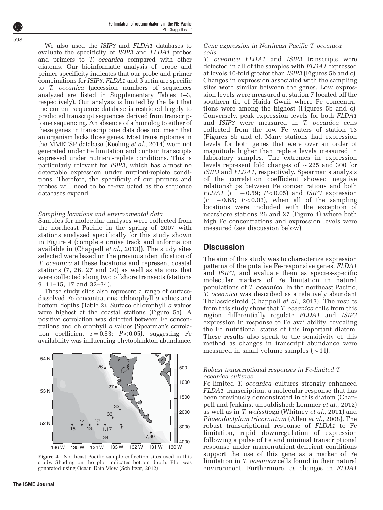We also used the *ISIP3* and *FLDA1* databases to evaluate the specificity of ISIP3 and FLDA1 probes and primers to T. oceanica compared with other diatoms. Our bioinformatic analysis of probe and primer specificity indicates that our probe and primer combinations for *ISIP3*,  $FLDA1$  and  $\beta$  actin are specific to T. oceanica (accession numbers of sequences analyzed are listed in Supplementary Tables 1–3, respectively). Our analysis is limited by the fact that the current sequence database is restricted largely to predicted transcript sequences derived from transcriptome sequencing. An absence of a homolog to either of these genes in transcriptome data does not mean that an organism lacks those genes. Most transcriptomes in the MMETSP database [\(Keeling](#page-11-0) et al., 2014) were not generated under Fe limitation and contain transcripts expressed under nutrient-replete conditions. This is particularly relevant for ISIP3, which has almost no detectable expression under nutrient-replete conditions. Therefore, the specificity of our primers and probes will need to be re-evaluated as the sequence databases expand.

### Sampling locations and environmental data

Samples for molecular analyses were collected from the northeast Pacific in the spring of 2007 with stations analyzed specifically for this study shown in Figure 4 (complete cruise track and information available in ([Chappell](#page-11-0) et al., 2013)). The study sites selected were based on the previous identification of T. oceanica at these locations and represent coastal stations (7, 26, 27 and 30) as well as stations that were collected along two offshore transects (stations 9, 11–15, 17 and 32–34).

These study sites also represent a range of surfacedissolved Fe concentrations, chlorophyll a values and bottom depths [\(Table 2\)](#page-9-0). Surface chlorophyll a values were highest at the coastal stations [\(Figure 5a](#page-10-0)). A positive correlation was detected between Fe concentrations and chlorophyll a values (Spearman's correlation coefficient  $r=0.53$ ;  $P<0.05$ ), suggesting Fe availability was influencing phytoplankton abundance.



Figure 4 Northeast Pacific sample collection sites used in this study. Shading on the plot indicates bottom depth. Plot was generated using Ocean Data View ([Schlitzer, 2012](#page-12-0)).

#### Gene expression in Northeast Pacific T. oceanica cells

T. oceanica FLDA1 and ISIP3 transcripts were detected in all of the samples with FLDA1 expressed at levels 10-fold greater than ISIP3 ([Figures 5b and c\)](#page-10-0). Changes in expression associated with the sampling sites were similar between the genes. Low expression levels were measured at station 7 located off the southern tip of Haida Gwaii where Fe concentrations were among the highest ([Figures 5b and c](#page-10-0)). Conversely, peak expression levels for both FLDA1 and ISIP3 were measured in T. oceanica cells collected from the low Fe waters of station 13 ([Figures 5b and c\)](#page-10-0). Many stations had expression levels for both genes that were over an order of magnitude higher than replete levels measured in laboratory samples. The extremes in expression levels represent fold changes of  $\sim$  225 and 300 for ISIP3 and FLDA1, respectively. Spearman's analysis of the correlation coefficient showed negative relationships between Fe concentrations and both  $FLDA1$  ( $r = -0.59$ ;  $P < 0.05$ ) and ISIP3 expression  $(r = -0.65; P<0.03)$ , when all of the sampling locations were included with the exception of nearshore stations 26 and 27 (Figure 4) where both high Fe concentrations and expression levels were measured (see discussion below).

# **Discussion**

The aim of this study was to characterize expression patterns of the putative Fe-responsive genes, FLDA1 and ISIP3, and evaluate them as species-specific molecular markers of Fe limitation in natural populations of T. oceanica. In the northeast Pacific, T. oceanica was described as a relatively abundant Thalassiosiroid [\(Chappell](#page-11-0) et al., 2013). The results from this study show that T. oceanica cells from this region differentially regulate FLDA1 and ISIP3 expression in response to Fe availability, revealing the Fe nutritional status of this important diatom. These results also speak to the sensitivity of this method as changes in transcript abundance were measured in small volume samples  $(\sim 1$ ].

#### Robust transcriptional responses in Fe-limited T. oceanica cultures

Fe-limited T. oceanica cultures strongly enhanced FLDA1 transcription, a molecular response that has been previously demonstrated in this diatom (Chappell and Jenkins, unpublished; [Lommer](#page-11-0) et al., 2012) as well as in T. weissflogii [\(Whitney](#page-12-0) et al., 2011) and Phaeodactylum tricornutum (Allen et al.[, 2008](#page-11-0)). The robust transcriptional response of FLDA1 to Fe limitation, rapid downregulation of expression following a pulse of Fe and minimal transcriptional response under macronutrient-deficient conditions support the use of this gene as a marker of Fe limitation in T. oceanica cells found in their natural environment. Furthermore, as changes in FLDA1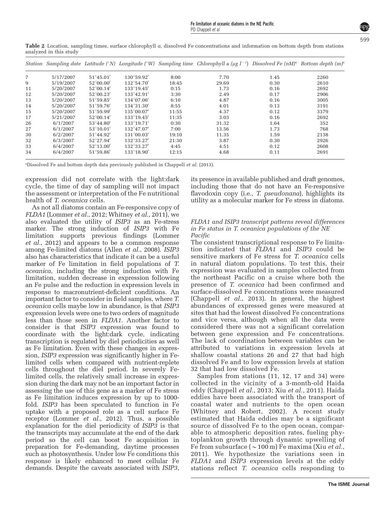| $_{\mathrm{unc}}$ , board in this state $_{\mathrm{r}}$ |           |                    |                     |       |                                                                                                                                                                   |      |      |  |  |
|---------------------------------------------------------|-----------|--------------------|---------------------|-------|-------------------------------------------------------------------------------------------------------------------------------------------------------------------|------|------|--|--|
|                                                         |           |                    |                     |       | Station Sampling date Latitude (°N) Longitude (°W) Sampling time Chlorophyll a (µg l <sup>-1</sup> ) Dissolved Fe (nM) <sup>a</sup> Bottom depth (m) <sup>a</sup> |      |      |  |  |
| 7                                                       | 5/17/2007 | $51^{\circ}45.01'$ | $130^{\circ}59.92'$ | 8:00  | 7.70                                                                                                                                                              | 1.45 | 2260 |  |  |
| 9                                                       | 5/19/2007 | $52^{\circ}00.00'$ | $132^{\circ}54.70'$ | 18:45 | 29.69                                                                                                                                                             | 0.30 | 2610 |  |  |
| 11                                                      | 5/20/2007 | $52^{\circ}00.14'$ | 133°19.45'          | 0:15  | 1.73                                                                                                                                                              | 0.16 | 2692 |  |  |
| 12                                                      | 5/20/2007 | $52^{\circ}00.23'$ | $133^{\circ}42.91'$ | 3:30  | 2.49                                                                                                                                                              | 0.17 | 2906 |  |  |
| 13                                                      | 5/20/2007 | $51^{\circ}59.85'$ | $134^{\circ}07.06'$ | 6:10  | 4.87                                                                                                                                                              | 0.16 | 3005 |  |  |
| 14                                                      | 5/20/2007 | $51^{\circ}59.76'$ | $134^{\circ}31.30'$ | 8:55  | 4.01                                                                                                                                                              | 0.13 | 3191 |  |  |
| 15                                                      | 5/20/2007 | $51^{\circ}59.99'$ | $135^{\circ}00.07'$ | 11:55 | 4.37                                                                                                                                                              | 0.12 | 3379 |  |  |
| 17                                                      | 5/21/2007 | $52^{\circ}00.14'$ | $133^{\circ}19.45'$ | 11:35 | 3.03                                                                                                                                                              | 0.16 | 2692 |  |  |
| 26                                                      | 6/1/2007  | $53^{\circ}44.80'$ | $133^{\circ}19.71'$ | 0:30  | 31.32                                                                                                                                                             | 1.64 | 352  |  |  |
| 27                                                      | 6/1/2007  | $53^{\circ}10.01'$ | $132^{\circ}47.07'$ | 7:00  | 13.56                                                                                                                                                             | 1.73 | 768  |  |  |
| 30                                                      | 6/2/2007  | $51^{\circ}44.92'$ | $131^{\circ}00.03'$ | 19:10 | 11.35                                                                                                                                                             | 1.59 | 2138 |  |  |
| 32                                                      | 6/3/2007  | $52^{\circ}27.94'$ | $132^{\circ}33.27'$ | 21:30 | 3.87                                                                                                                                                              | 0.30 | 2926 |  |  |
| 33                                                      | 6/4/2007  | $52^{\circ}13.00'$ | $132^{\circ}33.27'$ | 4:45  | 4.51                                                                                                                                                              | 0.12 | 2608 |  |  |
| 34                                                      | 6/4/2007  | $51^{\circ}59.86'$ | 133°18.90'          | 12:15 | 4.68                                                                                                                                                              | 0.11 | 2691 |  |  |

<span id="page-9-0"></span>Table 2 Location, sampling times, surface chlorophyll a, dissolved Fe concentrations and information on bottom depth from stations analyzed in this study

<sup>a</sup>Dissolved Fe and bottom depth data previously published in [Chappell](#page-11-0) et al. (2013).

expression did not correlate with the light:dark cycle, the time of day of sampling will not impact the assessment or interpretation of the Fe nutritional health of T. oceanica cells.

As not all diatoms contain an Fe-responsive copy of FLDA1 [\(Lommer](#page-11-0) et al., 2012; [Whitney](#page-12-0) et al., 2011), we also evaluated the utility of ISIP3 as an Fe-stress marker. The strong induction of *ISIP3* with Fe limitation supports previous findings [\(Lommer](#page-11-0) et al.[, 2012\)](#page-11-0) and appears to be a common response among Fe-limited diatoms (Allen et al.[, 2008](#page-11-0)). ISIP3 also has characteristics that indicate it can be a useful marker of Fe limitation in field populations of T. oceanica, including the strong induction with Fe limitation, sudden decrease in expression following an Fe pulse and the reduction in expression levels in response to macronutrient-deficient conditions. An important factor to consider in field samples, where T. oceanica cells maybe low in abundance, is that ISIP3 expression levels were one to two orders of magnitude less than those seen in FLDA1. Another factor to consider is that ISIP3 expression was found to coordinate with the light:dark cycle, indicating transcription is regulated by diel periodicities as well as Fe limitation. Even with these changes in expression, ISIP3 expression was significantly higher in Felimited cells when compared with nutrient-replete cells throughout the diel period. In severely Felimited cells, the relatively small increase in expression during the dark may not be an important factor in assessing the use of this gene as a marker of Fe stress as Fe limitation induces expression by up to 1000 fold. ISIP3 has been speculated to function in Fe uptake with a proposed role as a cell surface Fe receptor [\(Lommer](#page-11-0) et al., 2012). Thus, a possible explanation for the diel periodicity of ISIP3 is that the transcripts may accumulate at the end of the dark period so the cell can boost Fe acquisition in preparation for Fe-demanding, daytime processes such as photosynthesis. Under low Fe conditions this response is likely enhanced to meet cellular Fe demands. Despite the caveats associated with ISIP3,

its presence in available published and draft genomes, including those that do not have an Fe-responsive flavodoxin copy (i.e., T. *pseudonana*), highlights its utility as a molecular marker for Fe stress in diatoms.

#### FLDA1 and ISIP3 transcript patterns reveal differences in Fe status in T. oceanica populations of the NE Pacific

The consistent transcriptional response to Fe limitation indicated that FLDA1 and ISIP3 could be sensitive markers of Fe stress for T. oceanica cells in natural diatom populations. To test this, their expression was evaluated in samples collected from the northeast Pacific on a cruise where both the presence of T. oceanica had been confirmed and surface-dissolved Fe concentrations were measured [\(Chappell](#page-11-0) et al., 2013). In general, the highest abundances of expressed genes were measured at sites that had the lowest dissolved Fe concentrations and vice versa, although when all the data were considered there was not a significant correlation between gene expression and Fe concentrations. The lack of coordination between variables can be attributed to variations in expression levels at shallow coastal stations 26 and 27 that had high dissolved Fe and to low expression levels at station 32 that had low dissolved Fe.

Samples from stations (11, 12, 17 and 34) were collected in the vicinity of a 3-month-old Haida eddy ([Chappell](#page-11-0) et al., 2013; Xiu et al.[, 2011](#page-12-0)). Haida eddies have been associated with the transport of coastal water and nutrients to the open ocean [\(Whitney and Robert, 2002](#page-12-0)). A recent study estimated that Haida eddies may be a significant source of dissolved Fe to the open ocean, comparable to atmospheric deposition rates, fueling phytoplankton growth through dynamic upwelling of Fe from subsurface ( $\sim$ 100 m) Fe maxima (Xiu [et al.](#page-12-0), [2011](#page-12-0)). We hypothesize the variations seen in FLDA1 and ISIP3 expression levels at the eddy stations reflect T. oceanica cells responding to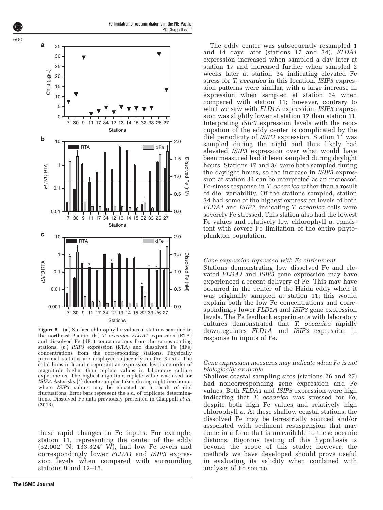

Figure 5 (a.) Surface chlorophyll a values at stations sampled in the northeast Pacific. (b.) T. oceanica FLDA1 expression (RTA) and dissolved Fe (dFe) concentrations from the corresponding stations. (c.) ISIP3 expression (RTA) and dissolved Fe (dFe) concentrations from the corresponding stations. Physically proximal stations are displayed adjacently on the X-axis. The solid lines in b and c represent an expression level one order of magnitude higher than replete values in laboratory culture experiments. The highest nighttime replete value was used for ISIP3. Asterisks (\*) denote samples taken during nighttime hours, where ISIP3 values may be elevated as a result of diel fluctuations. Error bars represent the s.d. of triplicate determinations. Dissolved Fe data previously presented in [Chappell](#page-11-0) et al. [\(2013\)](#page-11-0).

these rapid changes in Fe inputs. For example, station 11, representing the center of the eddy  $(52.002^{\circ} \text{ N}, 133.324^{\circ} \text{ W})$ , had low Fe levels and correspondingly lower FLDA1 and ISIP3 expression levels when compared with surrounding stations 9 and 12–15.

The eddy center was subsequently resampled 1 and 14 days later (stations 17 and 34). FLDA1 expression increased when sampled a day later at station 17 and increased further when sampled 2 weeks later at station 34 indicating elevated Fe stress for T. oceanica in this location. ISIP3 expression patterns were similar, with a large increase in expression when sampled at station 34 when compared with station 11; however, contrary to what we saw with FLD1A expression, ISIP3 expression was slightly lower at station 17 than station 11. Interpreting ISIP3 expression levels with the reoccupation of the eddy center is complicated by the diel periodicity of ISIP3 expression. Station 11 was sampled during the night and thus likely had elevated ISIP3 expression over what would have been measured had it been sampled during daylight hours. Stations 17 and 34 were both sampled during the daylight hours, so the increase in ISIP3 expression at station 34 can be interpreted as an increased Fe-stress response in T. oceanica rather than a result of diel variability. Of the stations sampled, station 34 had some of the highest expression levels of both FLDA1 and ISIP3, indicating T. oceanica cells were severely Fe stressed. This station also had the lowest Fe values and relatively low chlorophyll a, consistent with severe Fe limitation of the entire phytoplankton population.

#### Gene expression repressed with Fe enrichment

Stations demonstrating low dissolved Fe and elevated FLDA1 and ISIP3 gene expression may have experienced a recent delivery of Fe. This may have occurred in the center of the Haida eddy when it was originally sampled at station 11; this would explain both the low Fe concentrations and correspondingly lower FLD1A and ISIP3 gene expression levels. The Fe feedback experiments with laboratory cultures demonstrated that T. oceanica rapidly downregulates FLD1A and ISIP3 expression in response to inputs of Fe.

#### Gene expression measures may indicate when Fe is not biologically available

Shallow coastal sampling sites (stations 26 and 27) had noncorresponding gene expression and Fe values. Both FLDA1 and ISIP3 expression were high indicating that T. oceanica was stressed for Fe, despite both high Fe values and relatively high chlorophyll a. At these shallow coastal stations, the dissolved Fe may be terrestrially sourced and/or associated with sediment resuspension that may come in a form that is unavailable to these oceanic diatoms. Rigorous testing of this hypothesis is beyond the scope of this study; however, the methods we have developed should prove useful in evaluating its validity when combined with analyses of Fe source.

<span id="page-10-0"></span>600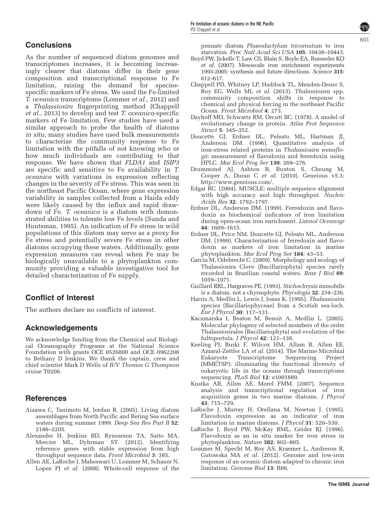# <span id="page-11-0"></span>**Conclusions**

As the number of sequenced diatom genomes and transcriptomes increases, it is becoming increasingly clearer that diatoms differ in their gene composition and transcriptional response to Fe limitation, raising the demand for speciesspecific markers of Fe stress. We used the Fe-limited  $\overline{T}$ . oceanica transcriptome (Lommer et al., 2012) and a Thalassiosira fingerprinting method (Chappell et al., 2013) to develop and test T. oceanica-specific markers of Fe limitation. Few studies have used a similar approach to probe the health of diatoms in situ; many studies have used bulk measurements to characterize the community response to Fe limitation with the pitfalls of not knowing who or how much individuals are contributing to that response. We have shown that FLDA1 and ISIP3 are specific and sensitive to Fe availability in T. oceanica with variations in expression reflecting changes in the severity of Fe stress. This was seen in the northeast Pacific Ocean, where gene expression variability in samples collected from a Haida eddy were likely caused by the influx and rapid drawdown of Fe. T. oceanica is a diatom with demonstrated abilities to tolerate low Fe levels [\(Sunda and](#page-12-0) [Huntsman, 1995](#page-12-0)). An indication of Fe stress in wild populations of this diatom may serve as a proxy for Fe stress and potentially severe Fe stress in other diatoms occupying these waters. Additionally, gene expression measures can reveal when Fe may be biologically unavailable to a phytoplankton community providing a valuable investigative tool for detailed characterization of Fe supply.

# Conflict of Interest

The authors declare no conflicts of interest.

# Acknowledgements

We acknowledge funding from the Chemical and Biological Oceanography Programs at the National Science Foundation with grants OCE 0526800 and OCE 0962208 to Bethany D Jenkins. We thank the captain, crew and chief scientist Mark D Wells of R/V Thomas G Thompson cruise T0206.

# **References**

- Aizawa C, Tanimoto M, Jordan R. (2005). Living diatom assemblages from North Pacific and Bering Sea surface waters during summer 1999. Deep Sea Res Part II 52: 2186–2205.
- Alexander H, Jenkins BD, Rynearson TA, Saito MA, Mercier ML, Dyhrman ST. (2012). Identifying reference genes with stable expression from high throughput sequence data. Front Microbiol 3: 385.
- Allen AE, LaRoche J, Maheswari U, Lommer M, Schauer N, Lopez PJ et al. (2008). Whole-cell response of the

pennate diatom Phaeodactylum tricornutum to iron starvation. Proc Natl Acad Sci USA 105: 10438–10443.

- Boyd PW, Jickells T, Law CS, Blain S, Boyle EA, Buesseler KO et al. (2007). Mesoscale iron enrichment experiments 1993-2005: synthesis and future directions. Science 315: 612–617.
- Chappell PD, Whitney LP, Haddock TL, Menden-Deuer S, Roy EG, Wells ML et al. (2013). Thalassioisra spp. community composition shifts in response to chemical and physical forcing in the northeast Pacific Ocean. Front Microbiol 4: 273.
- Dayhoff MO, Schwartz RM, Orcutt BC. (1978). A model of evolutionary change in protein. Atlas Prot Sequence Struct 5: 345–352.
- Doucette GJ, Erdner DL, Peleato ML, Hartman JJ, Anderson DM. (1996). Quantitative analysis of iron-stress related proteins in Thalassiosira weissflogii: measurement of flavodoxin and ferredoxin using HPLC. Mar Ecol Prog Ser 130: 269–276.
- Drummond AJ, Ashton B, Buxton S, Cheung M, Cooper A, Duran C et al. (2010). Geneious v5.3; <http://www.geneious.com/>.
- Edgar RC. (2004). MUSCLE: multiple sequence alignment with high accuracy and high throughput. Nucleic Acids Res 32: 1792–1797.
- Erdner DL, Anderson DM. (1999). Ferredoxin and flavodoxin as biochemical indicators of iron limitation during open-ocean iron enrichment. Limnol Oceanogr 44: 1609–1615.
- Erdner DL, Price NM, Doucette GJ, Peleato ML, Anderson DM. (1999). Characterization of ferredoxin and flavodoxin as markers of iron limitation in marine phytoplankton. Mar Ecol Prog Ser 184: 43–53.
- Garcia M, Odebrecht C. (2009). Morphology and ecology of Thalassiosira Cleve (Bacillariophyta) species rarely recorded in Brazilian coastal waters. Braz J Biol 69: 1059–1071.
- Guillard RRL, Hargraves PE. (1993). Stichochrysis immobilis is a diatom, not a chyrsophyte. Phycologia 32: 234–236.
- Harris A, Medlin L, Lewis J, Jones K. (1995). Thalassiosira species (Bacillariophyceae) from a Scotish sea-loch. Eur J Phycol 30: 117–131.
- Kaczmarska I, Beaton M, Benoit A, Medlin L. (2005). Molecular phylogeny of selected members of the order Thalassiosirales (Bacillariophyta) and evolution of the fultoportula. J Phycol 42: 121–138.
- Keeling PJ, Burki F, Wilcox HM, Allam B, Allen EE, Amaral-Zettler LA et al. (2014). The Marine Microbial Eukaryote Transcriptome Sequencing Project (MMETSP): illuminating the functional diversity of eukaryotic life in the oceans through transcriptome sequencing. PLoS Biol 12: e1001889.
- Kustka AB, Allen AE, Morel FMM. (2007). Sequence analysis and transcriptional regulation of iron acquisition genes in two marine diatoms. J Phycol 43: 715–729.
- LaRoche J, Murray H, Orellana M, Newton J. (1995). Flavodoxin expression as an indicator of iron limitation in marine diatoms. J Phycol 31: 520–530.
- LaRoche J, Boyd PW, McKay RML, Geider RJ. (1996). Flavodoxin as an in situ marker for iron stress in phytoplankton. Nature 382: 802–805.
- Lommer M, Specht M, Roy AS, Kraemer L, Andreson R, Gutowska MA et al. (2012). Genome and low-iron response of an oceanic diatom adapted to chronic iron limitation. Genome Biol 13: R66.